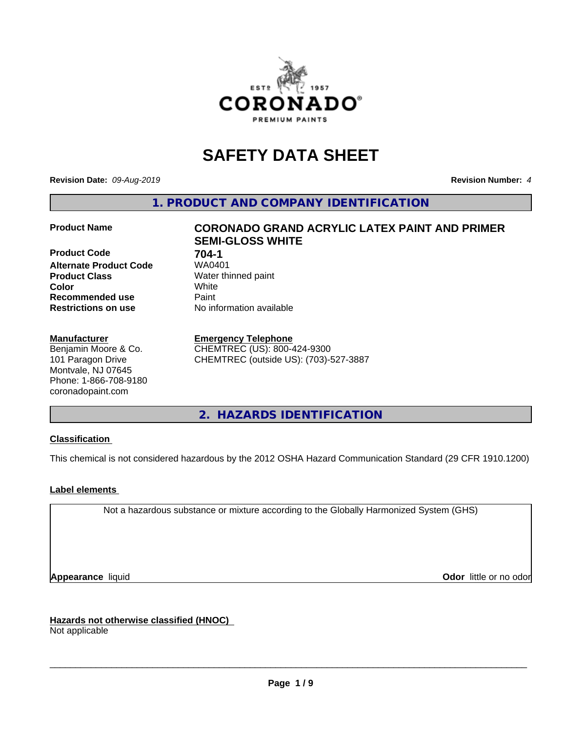

# **SAFETY DATA SHEET**

**Revision Date:** *09-Aug-2019* **Revision Number:** *4*

**1. PRODUCT AND COMPANY IDENTIFICATION**

**Product Code 61 704-1**<br>**Alternate Product Code 61 7040401 Alternate Product Code Product Class** Water thinned paint<br> **Color** White **Color** White **Recommended use Caint Restrictions on use** No information available

#### **Manufacturer**

Benjamin Moore & Co. 101 Paragon Drive Montvale, NJ 07645 Phone: 1-866-708-9180 coronadopaint.com

## **Product Name CORONADO GRAND ACRYLIC LATEX PAINT AND PRIMER SEMI-GLOSS WHITE**

#### **Emergency Telephone**

CHEMTREC (US): 800-424-9300 CHEMTREC (outside US): (703)-527-3887

**2. HAZARDS IDENTIFICATION**

#### **Classification**

This chemical is not considered hazardous by the 2012 OSHA Hazard Communication Standard (29 CFR 1910.1200)

#### **Label elements**

Not a hazardous substance or mixture according to the Globally Harmonized System (GHS)

**Appearance** liquid **Contract Contract Contract Contract Contract Contract Contract Contract Contract Contract Contract Contract Contract Contract Contract Contract Contract Contract Contract Contract Contract Contract Con** 

**Hazards not otherwise classified (HNOC)**

Not applicable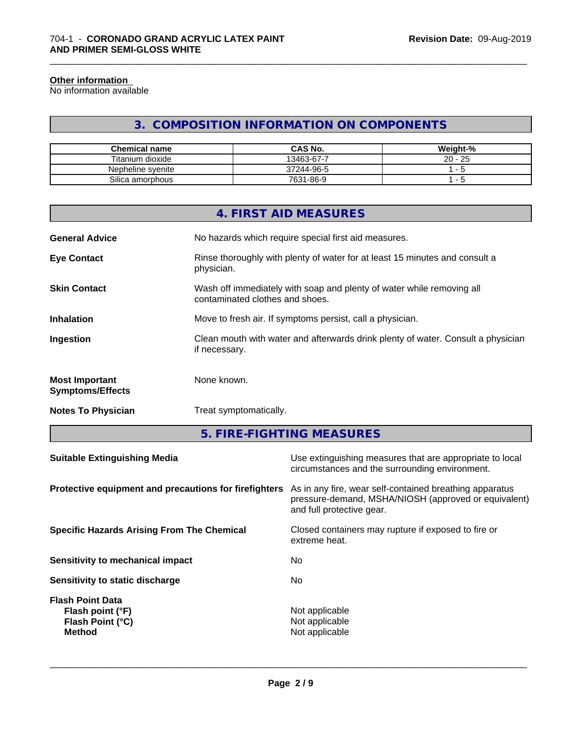#### **Other information**

No information available

## **3. COMPOSITION INFORMATION ON COMPONENTS**

\_\_\_\_\_\_\_\_\_\_\_\_\_\_\_\_\_\_\_\_\_\_\_\_\_\_\_\_\_\_\_\_\_\_\_\_\_\_\_\_\_\_\_\_\_\_\_\_\_\_\_\_\_\_\_\_\_\_\_\_\_\_\_\_\_\_\_\_\_\_\_\_\_\_\_\_\_\_\_\_\_\_\_\_\_\_\_\_\_\_\_\_\_

| <b>Chemical name</b> | <b>CAS No.</b> | Weight-%           |
|----------------------|----------------|--------------------|
| Titanium dioxide     | 13463-67-7     | つら<br>$20 -$<br>نت |
| Nepheline svenite    | 37244-96-5     |                    |
| Silica amorphous     | 7631-86-9      | -<br>. .           |

|                                                  | 4. FIRST AID MEASURES                                                                                    |
|--------------------------------------------------|----------------------------------------------------------------------------------------------------------|
| <b>General Advice</b>                            | No hazards which require special first aid measures.                                                     |
| <b>Eye Contact</b>                               | Rinse thoroughly with plenty of water for at least 15 minutes and consult a<br>physician.                |
| <b>Skin Contact</b>                              | Wash off immediately with soap and plenty of water while removing all<br>contaminated clothes and shoes. |
| <b>Inhalation</b>                                | Move to fresh air. If symptoms persist, call a physician.                                                |
| Ingestion                                        | Clean mouth with water and afterwards drink plenty of water. Consult a physician<br>if necessary.        |
| <b>Most Important</b><br><b>Symptoms/Effects</b> | None known.                                                                                              |
| <b>Notes To Physician</b>                        | Treat symptomatically.                                                                                   |
|                                                  |                                                                                                          |

**5. FIRE-FIGHTING MEASURES**

| <b>Suitable Extinguishing Media</b>                                              | Use extinguishing measures that are appropriate to local<br>circumstances and the surrounding environment.                                   |
|----------------------------------------------------------------------------------|----------------------------------------------------------------------------------------------------------------------------------------------|
| Protective equipment and precautions for firefighters                            | As in any fire, wear self-contained breathing apparatus<br>pressure-demand, MSHA/NIOSH (approved or equivalent)<br>and full protective gear. |
| <b>Specific Hazards Arising From The Chemical</b>                                | Closed containers may rupture if exposed to fire or<br>extreme heat.                                                                         |
| Sensitivity to mechanical impact                                                 | No.                                                                                                                                          |
| Sensitivity to static discharge                                                  | No                                                                                                                                           |
| <b>Flash Point Data</b><br>Flash point (°F)<br>Flash Point (°C)<br><b>Method</b> | Not applicable<br>Not applicable<br>Not applicable                                                                                           |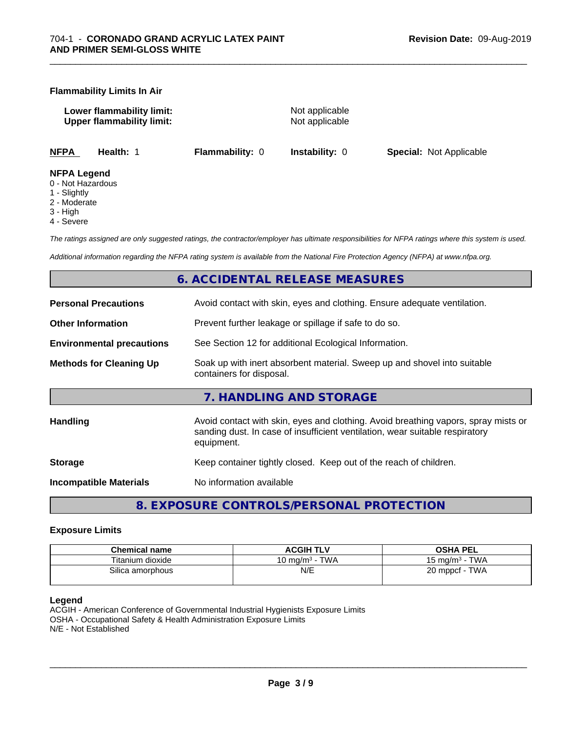#### **Flammability Limits In Air**

**Lower flammability limit:** Not applicable **Upper flammability limit:** Not applicable

\_\_\_\_\_\_\_\_\_\_\_\_\_\_\_\_\_\_\_\_\_\_\_\_\_\_\_\_\_\_\_\_\_\_\_\_\_\_\_\_\_\_\_\_\_\_\_\_\_\_\_\_\_\_\_\_\_\_\_\_\_\_\_\_\_\_\_\_\_\_\_\_\_\_\_\_\_\_\_\_\_\_\_\_\_\_\_\_\_\_\_\_\_

**NFPA Health:** 1 **Flammability:** 0 **Instability:** 0 **Special:** Not Applicable

#### **NFPA Legend**

- 0 Not Hazardous
- 1 Slightly
- 2 Moderate
- 3 High
- 4 Severe

*The ratings assigned are only suggested ratings, the contractor/employer has ultimate responsibilities for NFPA ratings where this system is used.*

*Additional information regarding the NFPA rating system is available from the National Fire Protection Agency (NFPA) at www.nfpa.org.*

## **6. ACCIDENTAL RELEASE MEASURES**

| <b>Personal Precautions</b>      | Avoid contact with skin, eyes and clothing. Ensure adequate ventilation.                                                                                                         |
|----------------------------------|----------------------------------------------------------------------------------------------------------------------------------------------------------------------------------|
| <b>Other Information</b>         | Prevent further leakage or spillage if safe to do so.                                                                                                                            |
| <b>Environmental precautions</b> | See Section 12 for additional Ecological Information.                                                                                                                            |
| <b>Methods for Cleaning Up</b>   | Soak up with inert absorbent material. Sweep up and shovel into suitable<br>containers for disposal.                                                                             |
|                                  | 7. HANDLING AND STORAGE                                                                                                                                                          |
| <b>Handling</b>                  | Avoid contact with skin, eyes and clothing. Avoid breathing vapors, spray mists or<br>sanding dust. In case of insufficient ventilation, wear suitable respiratory<br>equipment. |
| <b>Storage</b>                   | Keep container tightly closed. Keep out of the reach of children.                                                                                                                |
| <b>Incompatible Materials</b>    | No information available                                                                                                                                                         |
|                                  |                                                                                                                                                                                  |

**8. EXPOSURE CONTROLS/PERSONAL PROTECTION**

#### **Exposure Limits**

| <b>Chemical name</b> | <b>ACGIH TLV</b>                 | <b>OSHA PEL</b>                   |
|----------------------|----------------------------------|-----------------------------------|
| Titanium dioxide     | <b>TWA</b><br>10 ma/m $^{\rm 3}$ | <b>TWA</b><br>$15 \text{ ma/m}^3$ |
| Silica amorphous     | N/E                              | <b>TWA</b><br>20 mppcf            |

#### **Legend**

ACGIH - American Conference of Governmental Industrial Hygienists Exposure Limits OSHA - Occupational Safety & Health Administration Exposure Limits N/E - Not Established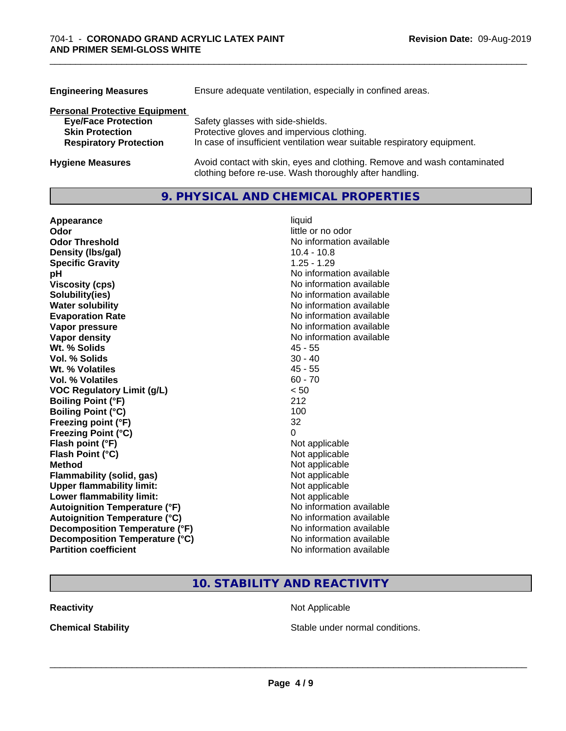| <b>Engineering Measures</b>          | Ensure adequate ventilation, especially in confined areas.                                                                          |
|--------------------------------------|-------------------------------------------------------------------------------------------------------------------------------------|
| <b>Personal Protective Equipment</b> |                                                                                                                                     |
| <b>Eye/Face Protection</b>           | Safety glasses with side-shields.                                                                                                   |
| <b>Skin Protection</b>               | Protective gloves and impervious clothing.                                                                                          |
| <b>Respiratory Protection</b>        | In case of insufficient ventilation wear suitable respiratory equipment.                                                            |
| <b>Hygiene Measures</b>              | Avoid contact with skin, eyes and clothing. Remove and wash contaminated<br>clothing before re-use. Wash thoroughly after handling. |

\_\_\_\_\_\_\_\_\_\_\_\_\_\_\_\_\_\_\_\_\_\_\_\_\_\_\_\_\_\_\_\_\_\_\_\_\_\_\_\_\_\_\_\_\_\_\_\_\_\_\_\_\_\_\_\_\_\_\_\_\_\_\_\_\_\_\_\_\_\_\_\_\_\_\_\_\_\_\_\_\_\_\_\_\_\_\_\_\_\_\_\_\_

## **9. PHYSICAL AND CHEMICAL PROPERTIES**

| Appearance                           | liquid                   |
|--------------------------------------|--------------------------|
| Odor                                 | little or no odor        |
| <b>Odor Threshold</b>                | No information available |
| Density (Ibs/gal)                    | $10.4 - 10.8$            |
| <b>Specific Gravity</b>              | $1.25 - 1.29$            |
| рH                                   | No information available |
| <b>Viscosity (cps)</b>               | No information available |
| Solubility(ies)                      | No information available |
| <b>Water solubility</b>              | No information available |
| <b>Evaporation Rate</b>              | No information available |
| Vapor pressure                       | No information available |
| <b>Vapor density</b>                 | No information available |
| Wt. % Solids                         | $45 - 55$                |
| Vol. % Solids                        | $30 - 40$                |
| Wt. % Volatiles                      | $45 - 55$                |
| <b>Vol. % Volatiles</b>              | $60 - 70$                |
| <b>VOC Regulatory Limit (g/L)</b>    | < 50                     |
| <b>Boiling Point (°F)</b>            | 212                      |
| <b>Boiling Point (°C)</b>            | 100                      |
| Freezing point (°F)                  | 32                       |
| <b>Freezing Point (°C)</b>           | 0                        |
| Flash point (°F)                     | Not applicable           |
| Flash Point (°C)                     | Not applicable           |
| <b>Method</b>                        | Not applicable           |
| <b>Flammability (solid, gas)</b>     | Not applicable           |
| <b>Upper flammability limit:</b>     | Not applicable           |
| Lower flammability limit:            | Not applicable           |
| <b>Autoignition Temperature (°F)</b> | No information available |
| <b>Autoignition Temperature (°C)</b> | No information available |
| Decomposition Temperature (°F)       | No information available |
| Decomposition Temperature (°C)       | No information available |
| <b>Partition coefficient</b>         | No information available |

## **10. STABILITY AND REACTIVITY**

**Reactivity Not Applicable** Not Applicable

**Chemical Stability Chemical Stability** Stable under normal conditions.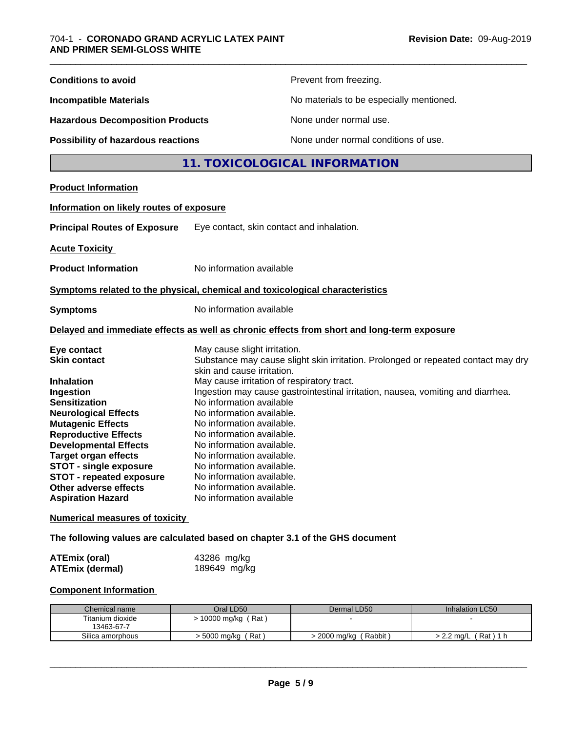| <b>Conditions to avoid</b>                                                                                                                                                                                                                                                                                                        |                                                                                                                                                                                                                                                                                                                                            | Prevent from freezing.                                                            |                      |  |
|-----------------------------------------------------------------------------------------------------------------------------------------------------------------------------------------------------------------------------------------------------------------------------------------------------------------------------------|--------------------------------------------------------------------------------------------------------------------------------------------------------------------------------------------------------------------------------------------------------------------------------------------------------------------------------------------|-----------------------------------------------------------------------------------|----------------------|--|
| <b>Incompatible Materials</b>                                                                                                                                                                                                                                                                                                     |                                                                                                                                                                                                                                                                                                                                            | No materials to be especially mentioned.                                          |                      |  |
| <b>Hazardous Decomposition Products</b>                                                                                                                                                                                                                                                                                           |                                                                                                                                                                                                                                                                                                                                            | None under normal use.                                                            |                      |  |
| None under normal conditions of use.<br>Possibility of hazardous reactions                                                                                                                                                                                                                                                        |                                                                                                                                                                                                                                                                                                                                            |                                                                                   |                      |  |
|                                                                                                                                                                                                                                                                                                                                   |                                                                                                                                                                                                                                                                                                                                            | 11. TOXICOLOGICAL INFORMATION                                                     |                      |  |
| <b>Product Information</b>                                                                                                                                                                                                                                                                                                        |                                                                                                                                                                                                                                                                                                                                            |                                                                                   |                      |  |
| Information on likely routes of exposure                                                                                                                                                                                                                                                                                          |                                                                                                                                                                                                                                                                                                                                            |                                                                                   |                      |  |
| <b>Principal Routes of Exposure</b>                                                                                                                                                                                                                                                                                               | Eye contact, skin contact and inhalation.                                                                                                                                                                                                                                                                                                  |                                                                                   |                      |  |
| <b>Acute Toxicity</b>                                                                                                                                                                                                                                                                                                             |                                                                                                                                                                                                                                                                                                                                            |                                                                                   |                      |  |
| <b>Product Information</b>                                                                                                                                                                                                                                                                                                        | No information available                                                                                                                                                                                                                                                                                                                   |                                                                                   |                      |  |
|                                                                                                                                                                                                                                                                                                                                   |                                                                                                                                                                                                                                                                                                                                            |                                                                                   |                      |  |
| Symptoms related to the physical, chemical and toxicological characteristics                                                                                                                                                                                                                                                      |                                                                                                                                                                                                                                                                                                                                            |                                                                                   |                      |  |
| <b>Symptoms</b>                                                                                                                                                                                                                                                                                                                   | No information available                                                                                                                                                                                                                                                                                                                   |                                                                                   |                      |  |
| Delayed and immediate effects as well as chronic effects from short and long-term exposure                                                                                                                                                                                                                                        |                                                                                                                                                                                                                                                                                                                                            |                                                                                   |                      |  |
| Eye contact<br><b>Skin contact</b>                                                                                                                                                                                                                                                                                                | May cause slight irritation.<br>skin and cause irritation.                                                                                                                                                                                                                                                                                 | Substance may cause slight skin irritation. Prolonged or repeated contact may dry |                      |  |
| Inhalation<br>Ingestion<br><b>Sensitization</b><br><b>Neurological Effects</b><br><b>Mutagenic Effects</b><br><b>Reproductive Effects</b><br><b>Developmental Effects</b><br><b>Target organ effects</b><br><b>STOT - single exposure</b><br><b>STOT - repeated exposure</b><br>Other adverse effects<br><b>Aspiration Hazard</b> | May cause irritation of respiratory tract.<br>No information available<br>No information available.<br>No information available.<br>No information available.<br>No information available.<br>No information available.<br>No information available.<br>No information available.<br>No information available.<br>No information available | Ingestion may cause gastrointestinal irritation, nausea, vomiting and diarrhea.   |                      |  |
| <b>Numerical measures of toxicity</b>                                                                                                                                                                                                                                                                                             |                                                                                                                                                                                                                                                                                                                                            |                                                                                   |                      |  |
| The following values are calculated based on chapter 3.1 of the GHS document                                                                                                                                                                                                                                                      |                                                                                                                                                                                                                                                                                                                                            |                                                                                   |                      |  |
| <b>ATEmix (oral)</b><br><b>ATEmix (dermal)</b>                                                                                                                                                                                                                                                                                    | 43286 mg/kg<br>189649 mg/kg                                                                                                                                                                                                                                                                                                                |                                                                                   |                      |  |
| <b>Component Information</b>                                                                                                                                                                                                                                                                                                      |                                                                                                                                                                                                                                                                                                                                            |                                                                                   |                      |  |
| Chemical name<br>Titanium dioxide                                                                                                                                                                                                                                                                                                 | Oral LD50                                                                                                                                                                                                                                                                                                                                  | Dermal LD50                                                                       | Inhalation LC50      |  |
| 13463-67-7<br>Silica amorphous                                                                                                                                                                                                                                                                                                    | > 10000 mg/kg (Rat)<br>> 5000 mg/kg (Rat)                                                                                                                                                                                                                                                                                                  | > 2000 mg/kg (Rabbit)                                                             | > 2.2 mg/L (Rat) 1 h |  |
|                                                                                                                                                                                                                                                                                                                                   |                                                                                                                                                                                                                                                                                                                                            |                                                                                   |                      |  |

|  | Paɑe | <u>э</u> |  |
|--|------|----------|--|
|--|------|----------|--|

 $\overline{\phantom{a}}$  ,  $\overline{\phantom{a}}$  ,  $\overline{\phantom{a}}$  ,  $\overline{\phantom{a}}$  ,  $\overline{\phantom{a}}$  ,  $\overline{\phantom{a}}$  ,  $\overline{\phantom{a}}$  ,  $\overline{\phantom{a}}$  ,  $\overline{\phantom{a}}$  ,  $\overline{\phantom{a}}$  ,  $\overline{\phantom{a}}$  ,  $\overline{\phantom{a}}$  ,  $\overline{\phantom{a}}$  ,  $\overline{\phantom{a}}$  ,  $\overline{\phantom{a}}$  ,  $\overline{\phantom{a}}$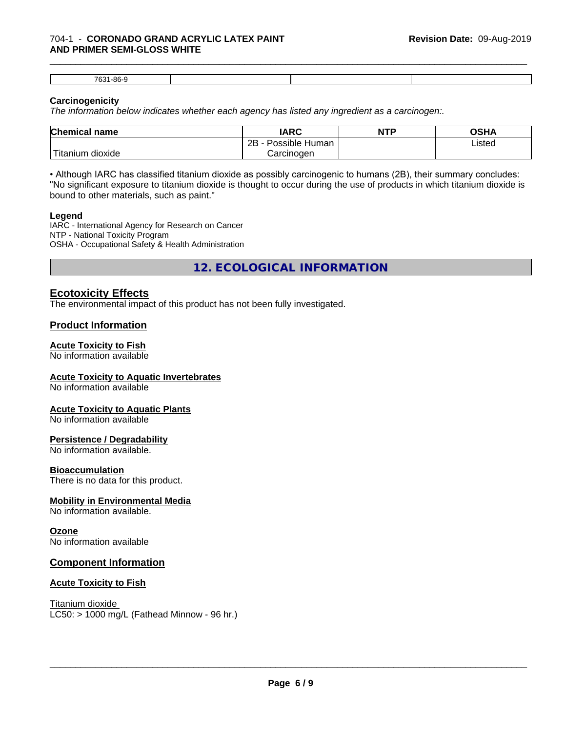7631-86-9

#### **Carcinogenicity**

*The information below indicateswhether each agency has listed any ingredient as a carcinogen:.*

| <b>Chemical name</b>              | <b>IARC</b>          | <b>NTP</b> | OSHA   |  |
|-----------------------------------|----------------------|------------|--------|--|
|                                   | Possible Human<br>2B |            | Listed |  |
| $-1$<br>dioxide<br><b>itanium</b> | Carcinogen           |            |        |  |

\_\_\_\_\_\_\_\_\_\_\_\_\_\_\_\_\_\_\_\_\_\_\_\_\_\_\_\_\_\_\_\_\_\_\_\_\_\_\_\_\_\_\_\_\_\_\_\_\_\_\_\_\_\_\_\_\_\_\_\_\_\_\_\_\_\_\_\_\_\_\_\_\_\_\_\_\_\_\_\_\_\_\_\_\_\_\_\_\_\_\_\_\_

• Although IARC has classified titanium dioxide as possibly carcinogenic to humans (2B), their summary concludes: "No significant exposure to titanium dioxide is thought to occur during the use of products in which titanium dioxide is bound to other materials, such as paint."

#### **Legend**

IARC - International Agency for Research on Cancer NTP - National Toxicity Program OSHA - Occupational Safety & Health Administration

**12. ECOLOGICAL INFORMATION**

## **Ecotoxicity Effects**

The environmental impact of this product has not been fully investigated.

### **Product Information**

#### **Acute Toxicity to Fish**

No information available

#### **Acute Toxicity to Aquatic Invertebrates**

No information available

#### **Acute Toxicity to Aquatic Plants**

No information available

#### **Persistence / Degradability**

No information available.

#### **Bioaccumulation**

There is no data for this product.

#### **Mobility in Environmental Media**

No information available.

#### **Ozone**

No information available

#### **Component Information**

#### **Acute Toxicity to Fish**

Titanium dioxide  $LC50:$  > 1000 mg/L (Fathead Minnow - 96 hr.)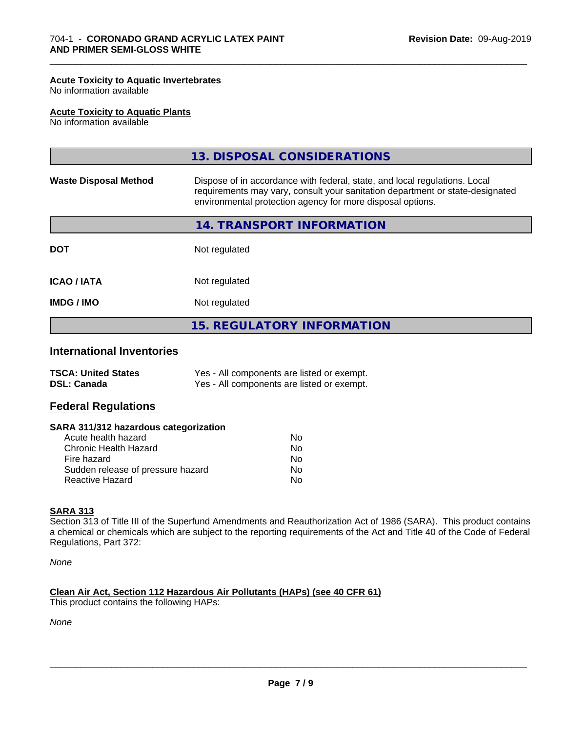#### **Acute Toxicity to Aquatic Invertebrates**

No information available

#### **Acute Toxicity to Aquatic Plants**

No information available

|                              | 13. DISPOSAL CONSIDERATIONS                                                                                                                                                                                               |
|------------------------------|---------------------------------------------------------------------------------------------------------------------------------------------------------------------------------------------------------------------------|
| <b>Waste Disposal Method</b> | Dispose of in accordance with federal, state, and local regulations. Local<br>requirements may vary, consult your sanitation department or state-designated<br>environmental protection agency for more disposal options. |
|                              | 14. TRANSPORT INFORMATION                                                                                                                                                                                                 |
| <b>DOT</b>                   | Not regulated                                                                                                                                                                                                             |
| <b>ICAO / IATA</b>           | Not regulated                                                                                                                                                                                                             |
| <b>IMDG / IMO</b>            | Not regulated                                                                                                                                                                                                             |
|                              | <b>15. REGULATORY INFORMATION</b>                                                                                                                                                                                         |

\_\_\_\_\_\_\_\_\_\_\_\_\_\_\_\_\_\_\_\_\_\_\_\_\_\_\_\_\_\_\_\_\_\_\_\_\_\_\_\_\_\_\_\_\_\_\_\_\_\_\_\_\_\_\_\_\_\_\_\_\_\_\_\_\_\_\_\_\_\_\_\_\_\_\_\_\_\_\_\_\_\_\_\_\_\_\_\_\_\_\_\_\_

## **International Inventories**

| <b>TSCA: United States</b> | Yes - All components are listed or exempt. |
|----------------------------|--------------------------------------------|
| <b>DSL: Canada</b>         | Yes - All components are listed or exempt. |

#### **Federal Regulations**

#### **SARA 311/312 hazardous categorization**

| Acute health hazard               | Nο |  |
|-----------------------------------|----|--|
| Chronic Health Hazard             | N٥ |  |
| Fire hazard                       | Nο |  |
| Sudden release of pressure hazard | Nο |  |
| Reactive Hazard                   | Nο |  |

#### **SARA 313**

Section 313 of Title III of the Superfund Amendments and Reauthorization Act of 1986 (SARA). This product contains a chemical or chemicals which are subject to the reporting requirements of the Act and Title 40 of the Code of Federal Regulations, Part 372:

*None*

#### **Clean Air Act,Section 112 Hazardous Air Pollutants (HAPs) (see 40 CFR 61)**

This product contains the following HAPs:

*None*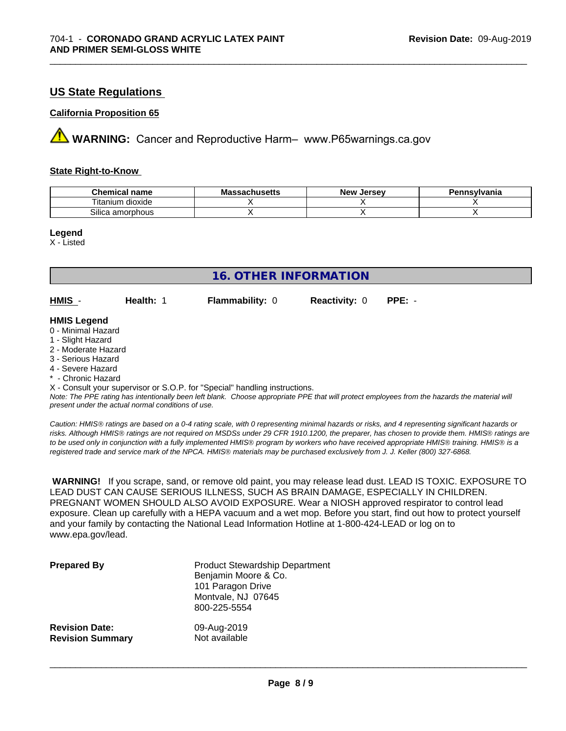## **US State Regulations**

#### **California Proposition 65**

**AVIMARNING:** Cancer and Reproductive Harm– www.P65warnings.ca.gov

#### **State Right-to-Know**

| Chemical<br>name                          | - -<br>,,,,,,,,,,,<br>IVIA<br>aunuscus | <b>Jerse</b> v<br><b>Nev</b> | าnsvlvania |
|-------------------------------------------|----------------------------------------|------------------------------|------------|
| $-$<br>.<br>dioxide<br>.um<br>. itanii    |                                        |                              |            |
| <b>A</b> .<br>∟amorphous<br><b>SILICP</b> |                                        |                              |            |

\_\_\_\_\_\_\_\_\_\_\_\_\_\_\_\_\_\_\_\_\_\_\_\_\_\_\_\_\_\_\_\_\_\_\_\_\_\_\_\_\_\_\_\_\_\_\_\_\_\_\_\_\_\_\_\_\_\_\_\_\_\_\_\_\_\_\_\_\_\_\_\_\_\_\_\_\_\_\_\_\_\_\_\_\_\_\_\_\_\_\_\_\_

**Legend**

X - Listed

| <b>16. OTHER INFORMATION</b>                                                                                                                                                                                |           |                                                                            |                      |                                                                                                                                               |
|-------------------------------------------------------------------------------------------------------------------------------------------------------------------------------------------------------------|-----------|----------------------------------------------------------------------------|----------------------|-----------------------------------------------------------------------------------------------------------------------------------------------|
| HMIS -                                                                                                                                                                                                      | Health: 1 | <b>Flammability: 0</b>                                                     | <b>Reactivity: 0</b> | $PPE: -$                                                                                                                                      |
| <b>HMIS Legend</b><br>0 - Minimal Hazard<br>1 - Slight Hazard<br>2 - Moderate Hazard<br>3 - Serious Hazard<br>4 - Severe Hazard<br>* - Chronic Hazard<br>present under the actual normal conditions of use. |           | X - Consult your supervisor or S.O.P. for "Special" handling instructions. |                      | Note: The PPE rating has intentionally been left blank. Choose appropriate PPE that will protect employees from the hazards the material will |

*Caution: HMISÒ ratings are based on a 0-4 rating scale, with 0 representing minimal hazards or risks, and 4 representing significant hazards or risks. Although HMISÒ ratings are not required on MSDSs under 29 CFR 1910.1200, the preparer, has chosen to provide them. HMISÒ ratings are to be used only in conjunction with a fully implemented HMISÒ program by workers who have received appropriate HMISÒ training. HMISÒ is a registered trade and service mark of the NPCA. HMISÒ materials may be purchased exclusively from J. J. Keller (800) 327-6868.*

 **WARNING!** If you scrape, sand, or remove old paint, you may release lead dust. LEAD IS TOXIC. EXPOSURE TO LEAD DUST CAN CAUSE SERIOUS ILLNESS, SUCH AS BRAIN DAMAGE, ESPECIALLY IN CHILDREN. PREGNANT WOMEN SHOULD ALSO AVOID EXPOSURE. Wear a NIOSH approved respirator to control lead exposure. Clean up carefully with a HEPA vacuum and a wet mop. Before you start, find out how to protect yourself and your family by contacting the National Lead Information Hotline at 1-800-424-LEAD or log on to www.epa.gov/lead.

| <b>Prepared By</b>      | <b>Product Stewardship Department</b><br>Benjamin Moore & Co.<br>101 Paragon Drive<br>Montvale, NJ 07645<br>800-225-5554 |
|-------------------------|--------------------------------------------------------------------------------------------------------------------------|
| <b>Revision Date:</b>   | 09-Aug-2019                                                                                                              |
| <b>Revision Summary</b> | Not available                                                                                                            |